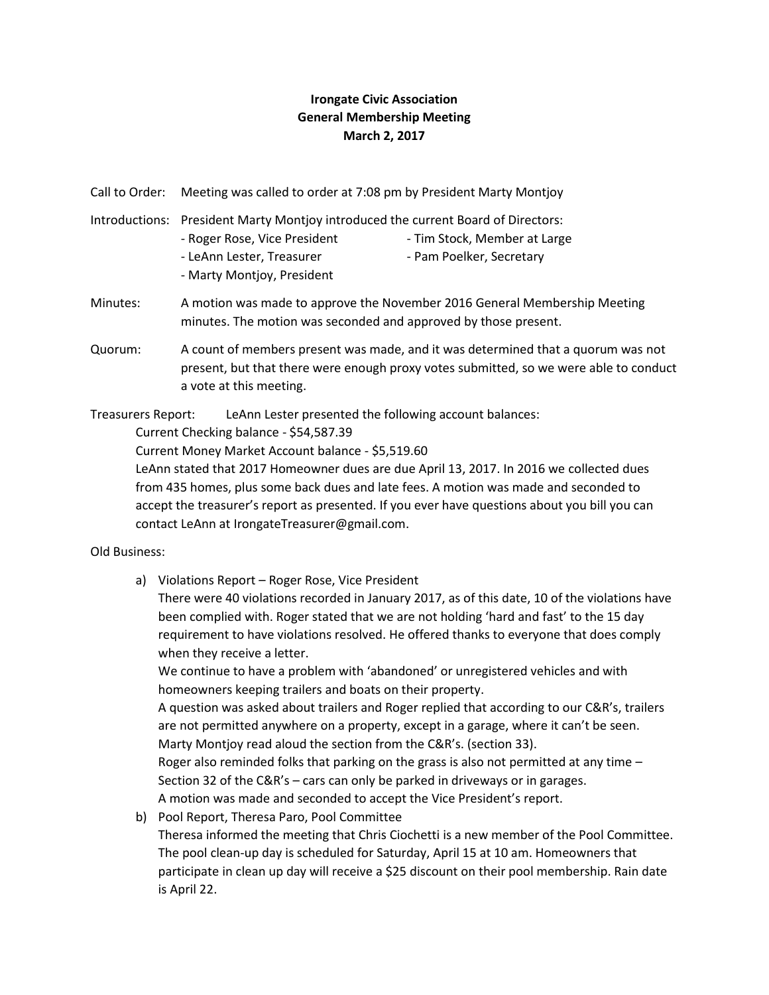## **Irongate Civic Association General Membership Meeting March 2, 2017**

Call to Order: Meeting was called to order at 7:08 pm by President Marty Montjoy

- Introductions: President Marty Montjoy introduced the current Board of Directors: - Roger Rose, Vice President - Tim Stock, Member at Large - LeAnn Lester, Treasurer - Pam Poelker, Secretary - Marty Montjoy, President
- Minutes: A motion was made to approve the November 2016 General Membership Meeting minutes. The motion was seconded and approved by those present.
- Quorum: A count of members present was made, and it was determined that a quorum was not present, but that there were enough proxy votes submitted, so we were able to conduct a vote at this meeting.

Treasurers Report: LeAnn Lester presented the following account balances:

Current Checking balance - \$54,587.39

Current Money Market Account balance - \$5,519.60

LeAnn stated that 2017 Homeowner dues are due April 13, 2017. In 2016 we collected dues from 435 homes, plus some back dues and late fees. A motion was made and seconded to accept the treasurer's report as presented. If you ever have questions about you bill you can contact LeAnn at [IrongateTreasurer@gmail.com.](mailto:IrongateTreasurer@gmail.com)

## Old Business:

a) Violations Report – Roger Rose, Vice President

There were 40 violations recorded in January 2017, as of this date, 10 of the violations have been complied with. Roger stated that we are not holding 'hard and fast' to the 15 day requirement to have violations resolved. He offered thanks to everyone that does comply when they receive a letter.

We continue to have a problem with 'abandoned' or unregistered vehicles and with homeowners keeping trailers and boats on their property.

A question was asked about trailers and Roger replied that according to our C&R's, trailers are not permitted anywhere on a property, except in a garage, where it can't be seen. Marty Montjoy read aloud the section from the C&R's. (section 33).

Roger also reminded folks that parking on the grass is also not permitted at any time  $-$ Section 32 of the C&R's – cars can only be parked in driveways or in garages. A motion was made and seconded to accept the Vice President's report.

b) Pool Report, Theresa Paro, Pool Committee

Theresa informed the meeting that Chris Ciochetti is a new member of the Pool Committee. The pool clean-up day is scheduled for Saturday, April 15 at 10 am. Homeowners that participate in clean up day will receive a \$25 discount on their pool membership. Rain date is April 22.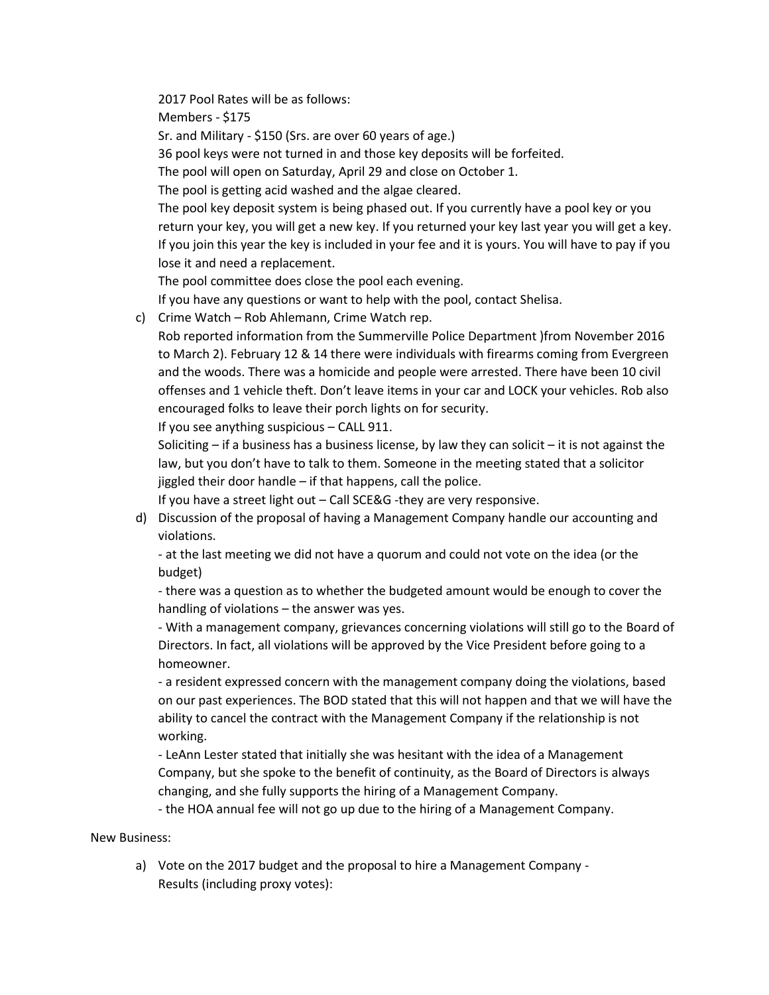2017 Pool Rates will be as follows: Members - \$175 Sr. and Military - \$150 (Srs. are over 60 years of age.) 36 pool keys were not turned in and those key deposits will be forfeited. The pool will open on Saturday, April 29 and close on October 1. The pool is getting acid washed and the algae cleared. The pool key deposit system is being phased out. If you currently have a pool key or you return your key, you will get a new key. If you returned your key last year you will get a key. If you join this year the key is included in your fee and it is yours. You will have to pay if you lose it and need a replacement. The pool committee does close the pool each evening. If you have any questions or want to help with the pool, contact Shelisa.

c) Crime Watch – Rob Ahlemann, Crime Watch rep.

Rob reported information from the Summerville Police Department )from November 2016 to March 2). February 12 & 14 there were individuals with firearms coming from Evergreen and the woods. There was a homicide and people were arrested. There have been 10 civil offenses and 1 vehicle theft. Don't leave items in your car and LOCK your vehicles. Rob also encouraged folks to leave their porch lights on for security.

If you see anything suspicious – CALL 911.

Soliciting – if a business has a business license, by law they can solicit – it is not against the law, but you don't have to talk to them. Someone in the meeting stated that a solicitor jiggled their door handle – if that happens, call the police.

If you have a street light out – Call SCE&G -they are very responsive.

d) Discussion of the proposal of having a Management Company handle our accounting and violations.

- at the last meeting we did not have a quorum and could not vote on the idea (or the budget)

- there was a question as to whether the budgeted amount would be enough to cover the handling of violations – the answer was yes.

- With a management company, grievances concerning violations will still go to the Board of Directors. In fact, all violations will be approved by the Vice President before going to a homeowner.

- a resident expressed concern with the management company doing the violations, based on our past experiences. The BOD stated that this will not happen and that we will have the ability to cancel the contract with the Management Company if the relationship is not working.

- LeAnn Lester stated that initially she was hesitant with the idea of a Management Company, but she spoke to the benefit of continuity, as the Board of Directors is always changing, and she fully supports the hiring of a Management Company.

- the HOA annual fee will not go up due to the hiring of a Management Company.

## New Business:

a) Vote on the 2017 budget and the proposal to hire a Management Company - Results (including proxy votes):